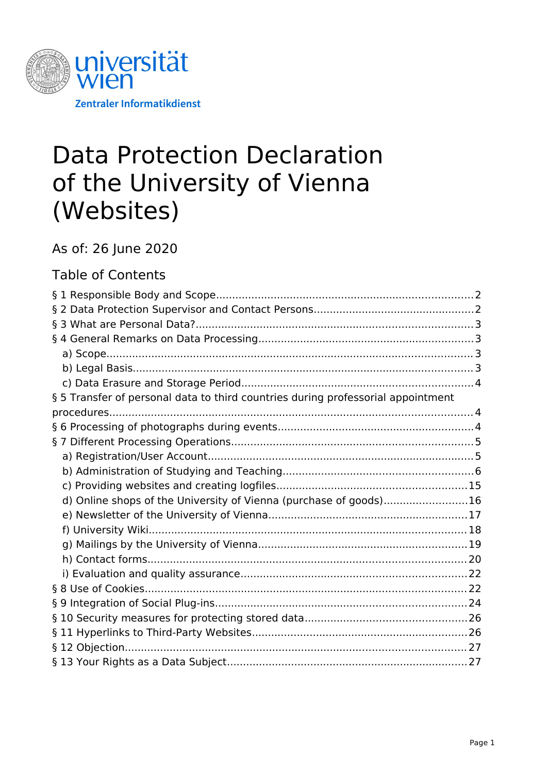

# Data Protection Declaration of the University of Vienna (Websites)

As of: 26 June 2020

# Table of Contents

| § 5 Transfer of personal data to third countries during professorial appointment |  |
|----------------------------------------------------------------------------------|--|
|                                                                                  |  |
|                                                                                  |  |
|                                                                                  |  |
|                                                                                  |  |
|                                                                                  |  |
|                                                                                  |  |
| d) Online shops of the University of Vienna (purchase of goods)16                |  |
|                                                                                  |  |
|                                                                                  |  |
|                                                                                  |  |
|                                                                                  |  |
|                                                                                  |  |
|                                                                                  |  |
|                                                                                  |  |
|                                                                                  |  |
|                                                                                  |  |
|                                                                                  |  |
|                                                                                  |  |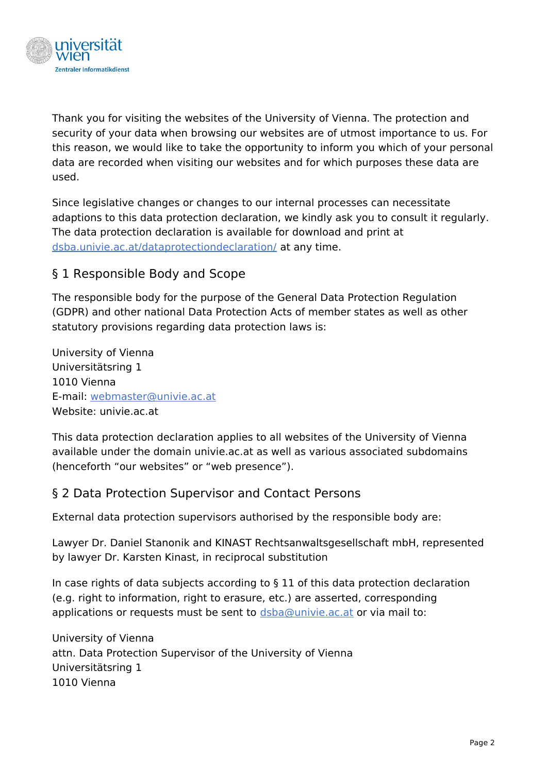

Thank you for visiting the websites of the University of Vienna. The protection and security of your data when browsing our websites are of utmost importance to us. For this reason, we would like to take the opportunity to inform you which of your personal data are recorded when visiting our websites and for which purposes these data are used.

Since legislative changes or changes to our internal processes can necessitate adaptions to this data protection declaration, we kindly ask you to consult it regularly. The data protection declaration is available for download and print at [dsba.univie.ac.at/dataprotectiondeclaration/](http://dsba.univie.ac.at/datenschutzerklaerung) at any time.

## <span id="page-1-1"></span>§ 1 Responsible Body and Scope

The responsible body for the purpose of the General Data Protection Regulation (GDPR) and other national Data Protection Acts of member states as well as other statutory provisions regarding data protection laws is:

University of Vienna Universitätsring 1 1010 Vienna E-mail: [webmaster@univie.ac.at](mailto:webmaster@univie.ac.at) Website: univie.ac.at

This data protection declaration applies to all websites of the University of Vienna available under the domain univie.ac.at as well as various associated subdomains (henceforth "our websites" or "web presence").

# <span id="page-1-0"></span>§ 2 Data Protection Supervisor and Contact Persons

External data protection supervisors authorised by the responsible body are:

Lawyer Dr. Daniel Stanonik and KINAST Rechtsanwaltsgesellschaft mbH, represented by lawyer Dr. Karsten Kinast, in reciprocal substitution

In case rights of data subjects according to § 11 of this data protection declaration (e.g. right to information, right to erasure, etc.) are asserted, corresponding applications or requests must be sent to [dsba@univie.ac.at](mailto:dsba@univie.ac.at) or via mail to:

University of Vienna attn. Data Protection Supervisor of the University of Vienna Universitätsring 1 1010 Vienna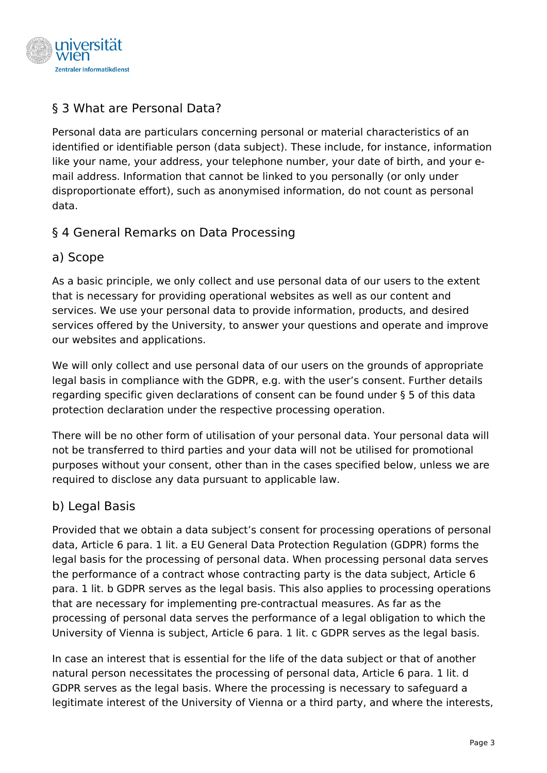

# <span id="page-2-3"></span>§ 3 What are Personal Data?

Personal data are particulars concerning personal or material characteristics of an identified or identifiable person (data subject). These include, for instance, information like your name, your address, your telephone number, your date of birth, and your email address. Information that cannot be linked to you personally (or only under disproportionate effort), such as anonymised information, do not count as personal data.

# <span id="page-2-2"></span>§ 4 General Remarks on Data Processing

## <span id="page-2-1"></span>a) Scope

As a basic principle, we only collect and use personal data of our users to the extent that is necessary for providing operational websites as well as our content and services. We use your personal data to provide information, products, and desired services offered by the University, to answer your questions and operate and improve our websites and applications.

We will only collect and use personal data of our users on the grounds of appropriate legal basis in compliance with the GDPR, e.g. with the user's consent. Further details regarding specific given declarations of consent can be found under § 5 of this data protection declaration under the respective processing operation.

There will be no other form of utilisation of your personal data. Your personal data will not be transferred to third parties and your data will not be utilised for promotional purposes without your consent, other than in the cases specified below, unless we are required to disclose any data pursuant to applicable law.

# <span id="page-2-0"></span>b) Legal Basis

Provided that we obtain a data subject's consent for processing operations of personal data, Article 6 para. 1 lit. a EU General Data Protection Regulation (GDPR) forms the legal basis for the processing of personal data. When processing personal data serves the performance of a contract whose contracting party is the data subject, Article 6 para. 1 lit. b GDPR serves as the legal basis. This also applies to processing operations that are necessary for implementing pre-contractual measures. As far as the processing of personal data serves the performance of a legal obligation to which the University of Vienna is subject, Article 6 para. 1 lit. c GDPR serves as the legal basis.

In case an interest that is essential for the life of the data subject or that of another natural person necessitates the processing of personal data, Article 6 para. 1 lit. d GDPR serves as the legal basis. Where the processing is necessary to safeguard a legitimate interest of the University of Vienna or a third party, and where the interests,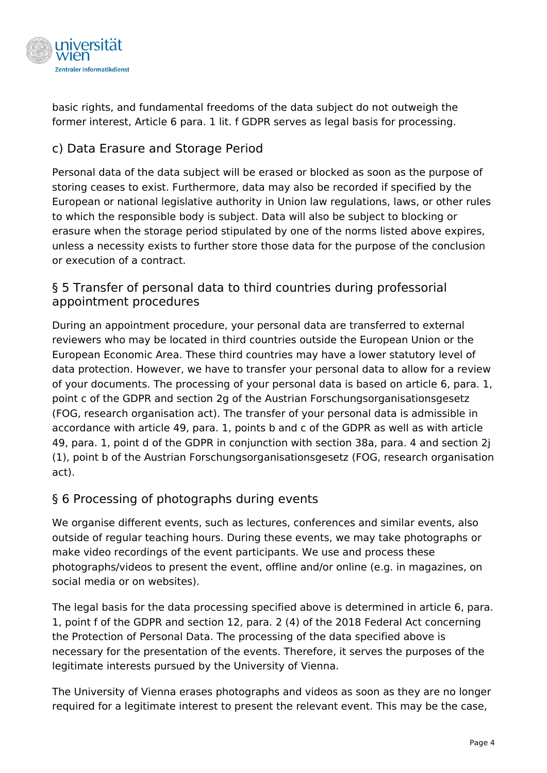

basic rights, and fundamental freedoms of the data subject do not outweigh the former interest, Article 6 para. 1 lit. f GDPR serves as legal basis for processing.

# <span id="page-3-2"></span>c) Data Erasure and Storage Period

Personal data of the data subject will be erased or blocked as soon as the purpose of storing ceases to exist. Furthermore, data may also be recorded if specified by the European or national legislative authority in Union law regulations, laws, or other rules to which the responsible body is subject. Data will also be subject to blocking or erasure when the storage period stipulated by one of the norms listed above expires, unless a necessity exists to further store those data for the purpose of the conclusion or execution of a contract.

## <span id="page-3-1"></span>§ 5 Transfer of personal data to third countries during professorial appointment procedures

During an appointment procedure, your personal data are transferred to external reviewers who may be located in third countries outside the European Union or the European Economic Area. These third countries may have a lower statutory level of data protection. However, we have to transfer your personal data to allow for a review of your documents. The processing of your personal data is based on article 6, para. 1, point c of the GDPR and section 2g of the Austrian Forschungsorganisationsgesetz (FOG, research organisation act). The transfer of your personal data is admissible in accordance with article 49, para. 1, points b and c of the GDPR as well as with article 49, para. 1, point d of the GDPR in conjunction with section 38a, para. 4 and section 2j (1), point b of the Austrian Forschungsorganisationsgesetz (FOG, research organisation act).

# <span id="page-3-0"></span>§ 6 Processing of photographs during events

We organise different events, such as lectures, conferences and similar events, also outside of regular teaching hours. During these events, we may take photographs or make video recordings of the event participants. We use and process these photographs/videos to present the event, offline and/or online (e.g. in magazines, on social media or on websites).

The legal basis for the data processing specified above is determined in article 6, para. 1, point f of the GDPR and section 12, para. 2 (4) of the 2018 Federal Act concerning the Protection of Personal Data. The processing of the data specified above is necessary for the presentation of the events. Therefore, it serves the purposes of the legitimate interests pursued by the University of Vienna.

The University of Vienna erases photographs and videos as soon as they are no longer required for a legitimate interest to present the relevant event. This may be the case,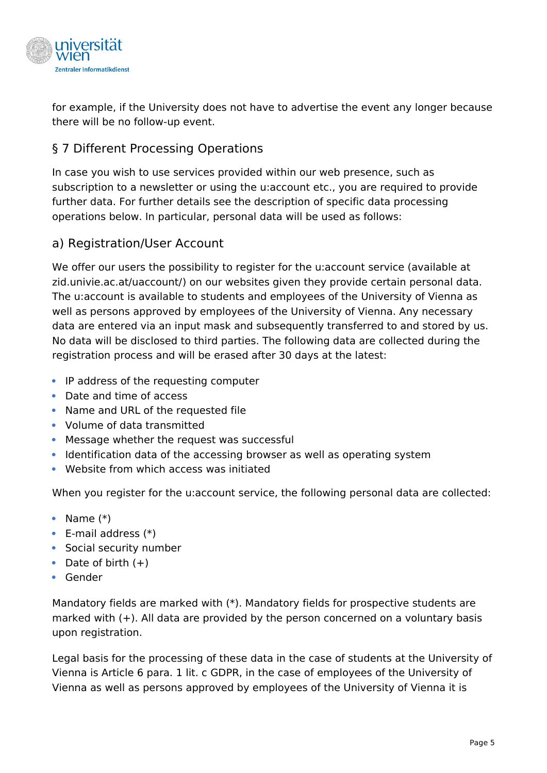

for example, if the University does not have to advertise the event any longer because there will be no follow-up event.

# <span id="page-4-1"></span>§ 7 Different Processing Operations

In case you wish to use services provided within our web presence, such as subscription to a newsletter or using the u:account etc., you are required to provide further data. For further details see the description of specific data processing operations below. In particular, personal data will be used as follows:

## <span id="page-4-0"></span>a) Registration/User Account

We offer our users the possibility to register for the u:account service (available at zid.univie.ac.at/uaccount/) on our websites given they provide certain personal data. The u:account is available to students and employees of the University of Vienna as well as persons approved by employees of the University of Vienna. Any necessary data are entered via an input mask and subsequently transferred to and stored by us. No data will be disclosed to third parties. The following data are collected during the registration process and will be erased after 30 days at the latest:

- IP address of the requesting computer
- Date and time of access
- Name and URL of the requested file
- Volume of data transmitted
- Message whether the request was successful
- Identification data of the accessing browser as well as operating system
- Website from which access was initiated

When you register for the u:account service, the following personal data are collected:

- Name  $(*)$
- $\bullet$  E-mail address  $(*)$
- Social security number
- Date of birth  $(+)$
- Gender

Mandatory fields are marked with (\*). Mandatory fields for prospective students are marked with (+). All data are provided by the person concerned on a voluntary basis upon registration.

Legal basis for the processing of these data in the case of students at the University of Vienna is Article 6 para. 1 lit. c GDPR, in the case of employees of the University of Vienna as well as persons approved by employees of the University of Vienna it is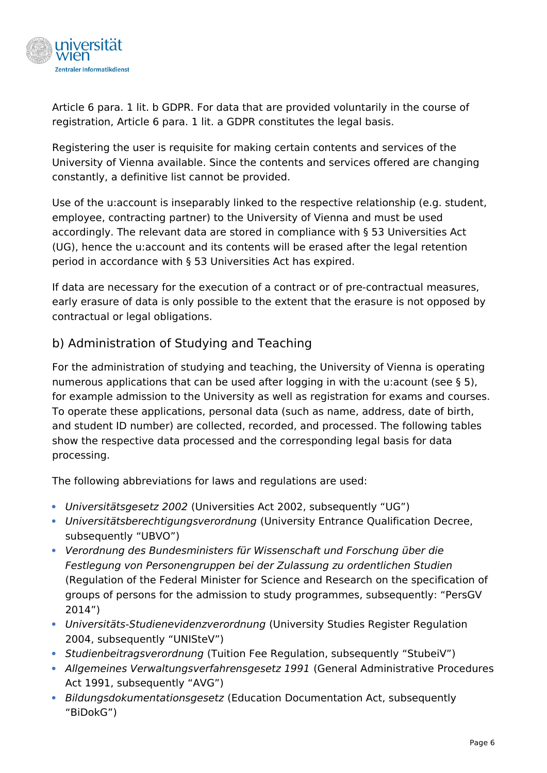

Article 6 para. 1 lit. b GDPR. For data that are provided voluntarily in the course of registration, Article 6 para. 1 lit. a GDPR constitutes the legal basis.

Registering the user is requisite for making certain contents and services of the University of Vienna available. Since the contents and services offered are changing constantly, a definitive list cannot be provided.

Use of the u:account is inseparably linked to the respective relationship (e.g. student, employee, contracting partner) to the University of Vienna and must be used accordingly. The relevant data are stored in compliance with § 53 Universities Act (UG), hence the u:account and its contents will be erased after the legal retention period in accordance with § 53 Universities Act has expired.

If data are necessary for the execution of a contract or of pre-contractual measures, early erasure of data is only possible to the extent that the erasure is not opposed by contractual or legal obligations.

# <span id="page-5-0"></span>b) Administration of Studying and Teaching

For the administration of studying and teaching, the University of Vienna is operating numerous applications that can be used after logging in with the u:acount (see § 5), for example admission to the University as well as registration for exams and courses. To operate these applications, personal data (such as name, address, date of birth, and student ID number) are collected, recorded, and processed. The following tables show the respective data processed and the corresponding legal basis for data processing.

The following abbreviations for laws and regulations are used:

- Universitätsgesetz 2002 (Universities Act 2002, subsequently "UG")
- Universitätsberechtigungsverordnung (University Entrance Qualification Decree, subsequently "UBVO")
- Verordnung des Bundesministers für Wissenschaft und Forschung über die Festlegung von Personengruppen bei der Zulassung zu ordentlichen Studien (Regulation of the Federal Minister for Science and Research on the specification of groups of persons for the admission to study programmes, subsequently: "PersGV 2014")
- Universitäts-Studienevidenzverordnung (University Studies Register Regulation 2004, subsequently "UNISteV")
- Studienbeitragsverordnung (Tuition Fee Regulation, subsequently "StubeiV")
- Allgemeines Verwaltungsverfahrensgesetz 1991 (General Administrative Procedures Act 1991, subsequently "AVG")
- Bildungsdokumentationsgesetz (Education Documentation Act, subsequently "BiDokG")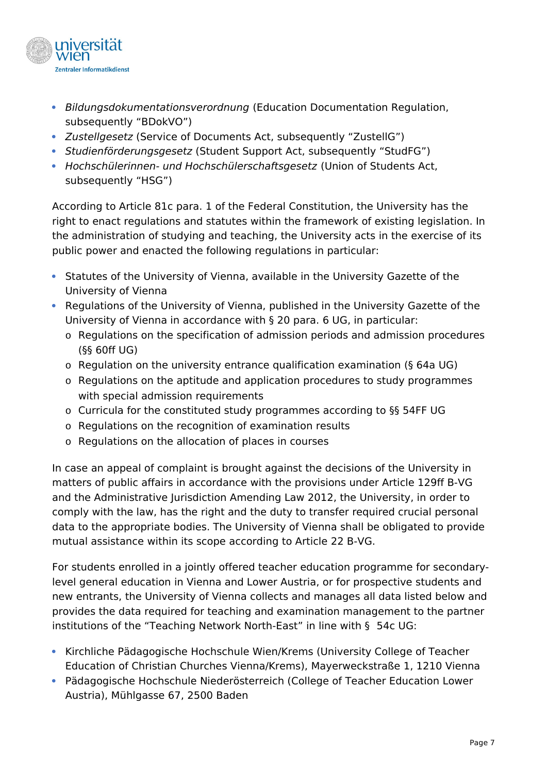

- Bildungsdokumentationsverordnung (Education Documentation Regulation, subsequently "BDokVO")
- Zustellgesetz (Service of Documents Act, subsequently "ZustellG")
- Studienförderungsgesetz (Student Support Act, subsequently "StudFG")
- Hochschülerinnen- und Hochschülerschaftsgesetz (Union of Students Act, subsequently "HSG")

According to Article 81c para. 1 of the Federal Constitution, the University has the right to enact regulations and statutes within the framework of existing legislation. In the administration of studying and teaching, the University acts in the exercise of its public power and enacted the following regulations in particular:

- Statutes of the University of Vienna, available in the University Gazette of the University of Vienna
- Regulations of the University of Vienna, published in the University Gazette of the University of Vienna in accordance with § 20 para. 6 UG, in particular:
	- o Regulations on the specification of admission periods and admission procedures (§§ 60ff UG)
	- o Regulation on the university entrance qualification examination (§ 64a UG)
	- o Regulations on the aptitude and application procedures to study programmes with special admission requirements
	- o Curricula for the constituted study programmes according to §§ 54FF UG
	- o Regulations on the recognition of examination results
	- o Regulations on the allocation of places in courses

In case an appeal of complaint is brought against the decisions of the University in matters of public affairs in accordance with the provisions under Article 129ff B-VG and the Administrative Jurisdiction Amending Law 2012, the University, in order to comply with the law, has the right and the duty to transfer required crucial personal data to the appropriate bodies. The University of Vienna shall be obligated to provide mutual assistance within its scope according to Article 22 B-VG.

For students enrolled in a jointly offered teacher education programme for secondarylevel general education in Vienna and Lower Austria, or for prospective students and new entrants, the University of Vienna collects and manages all data listed below and provides the data required for teaching and examination management to the partner institutions of the "Teaching Network North-East" in line with § 54c UG:

- Kirchliche Pädagogische Hochschule Wien/Krems (University College of Teacher Education of Christian Churches Vienna/Krems), Mayerweckstraße 1, 1210 Vienna
- Pädagogische Hochschule Niederösterreich (College of Teacher Education Lower Austria), Mühlgasse 67, 2500 Baden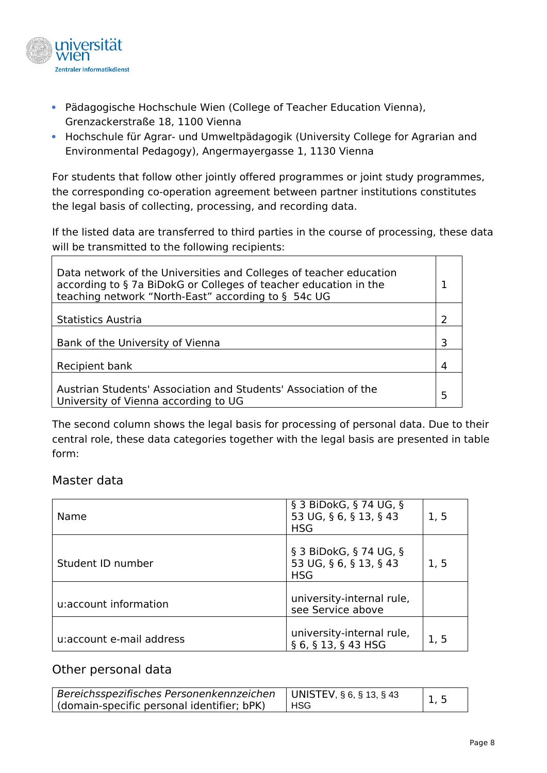

- Pädagogische Hochschule Wien (College of Teacher Education Vienna), Grenzackerstraße 18, 1100 Vienna
- Hochschule für Agrar- und Umweltpädagogik (University College for Agrarian and Environmental Pedagogy), Angermayergasse 1, 1130 Vienna

For students that follow other jointly offered programmes or joint study programmes, the corresponding co-operation agreement between partner institutions constitutes the legal basis of collecting, processing, and recording data.

If the listed data are transferred to third parties in the course of processing, these data will be transmitted to the following recipients:

| Data network of the Universities and Colleges of teacher education<br>according to § 7a BiDokG or Colleges of teacher education in the<br>teaching network "North-East" according to § 54c UG |  |
|-----------------------------------------------------------------------------------------------------------------------------------------------------------------------------------------------|--|
| <b>Statistics Austria</b>                                                                                                                                                                     |  |
| Bank of the University of Vienna                                                                                                                                                              |  |
| Recipient bank                                                                                                                                                                                |  |
| Austrian Students' Association and Students' Association of the<br>University of Vienna according to UG                                                                                       |  |

The second column shows the legal basis for processing of personal data. Due to their central role, these data categories together with the legal basis are presented in table form:

#### Master data

| Name                     | § 3 BiDokG, § 74 UG, §<br>53 UG, § 6, § 13, § 43<br><b>HSG</b> | 1, 5 |
|--------------------------|----------------------------------------------------------------|------|
| Student ID number        | § 3 BiDokG, § 74 UG, §<br>53 UG, § 6, § 13, § 43<br><b>HSG</b> | 1, 5 |
| u:account information    | university-internal rule,<br>see Service above                 |      |
| u:account e-mail address | university-internal rule,<br>§ 6, § 13, § 43 HSG               | 1, 5 |

#### Other personal data

| Bereichsspezifisches Personenkennzeichen<br>(domain-specific personal identifier; bPK) | UNISTEV, § 6, § 13, § 43<br>∣ HSG |  |
|----------------------------------------------------------------------------------------|-----------------------------------|--|
|----------------------------------------------------------------------------------------|-----------------------------------|--|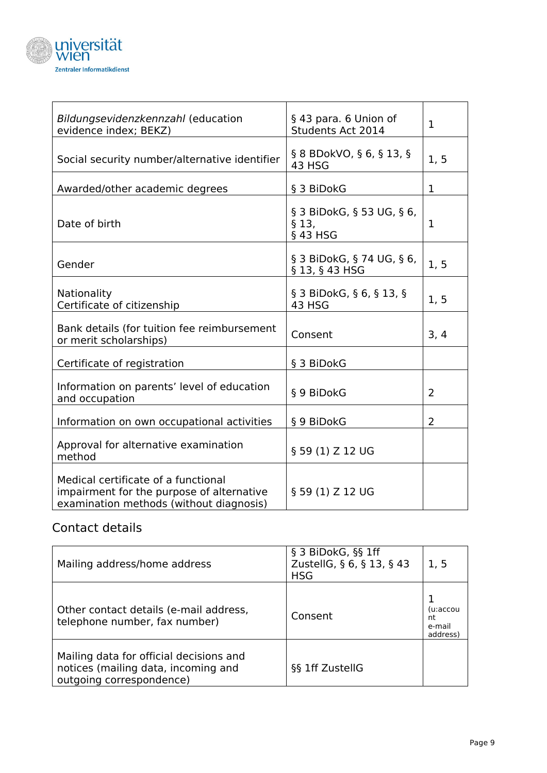

| Bildungsevidenzkennzahl (education<br>evidence index; BEKZ)                                                                 | § 43 para. 6 Union of<br>Students Act 2014       | 1              |
|-----------------------------------------------------------------------------------------------------------------------------|--------------------------------------------------|----------------|
| Social security number/alternative identifier                                                                               | § 8 BDokVO, § 6, § 13, §<br>43 HSG               | 1, 5           |
| Awarded/other academic degrees                                                                                              | § 3 BiDokG                                       | $\mathbf 1$    |
| Date of birth                                                                                                               | § 3 BiDokG, § 53 UG, § 6,<br>$§$ 13,<br>§ 43 HSG | 1              |
| Gender                                                                                                                      | § 3 BiDokG, § 74 UG, § 6,<br>§ 13, § 43 HSG      | 1, 5           |
| Nationality<br>Certificate of citizenship                                                                                   | § 3 BiDokG, § 6, § 13, §<br>43 HSG               | 1, 5           |
| Bank details (for tuition fee reimbursement<br>or merit scholarships)                                                       | Consent                                          | 3, 4           |
| Certificate of registration                                                                                                 | § 3 BiDokG                                       |                |
| Information on parents' level of education<br>and occupation                                                                | § 9 BiDokG                                       | $\overline{2}$ |
| Information on own occupational activities                                                                                  | § 9 BiDokG                                       | $\overline{2}$ |
| Approval for alternative examination<br>method                                                                              | § 59 (1) Z 12 UG                                 |                |
| Medical certificate of a functional<br>impairment for the purpose of alternative<br>examination methods (without diagnosis) | § 59 (1) Z 12 UG                                 |                |

# Contact details

| Mailing address/home address                                                                               | § 3 BiDokG, §§ 1ff<br>ZustellG, § 6, § 13, § 43<br><b>HSG</b> | 1, 5                                 |
|------------------------------------------------------------------------------------------------------------|---------------------------------------------------------------|--------------------------------------|
| Other contact details (e-mail address,<br>telephone number, fax number)                                    | Consent                                                       | (u:accou<br>nt<br>e-mail<br>address) |
| Mailing data for official decisions and<br>notices (mailing data, incoming and<br>outgoing correspondence) | §§ 1ff ZustellG                                               |                                      |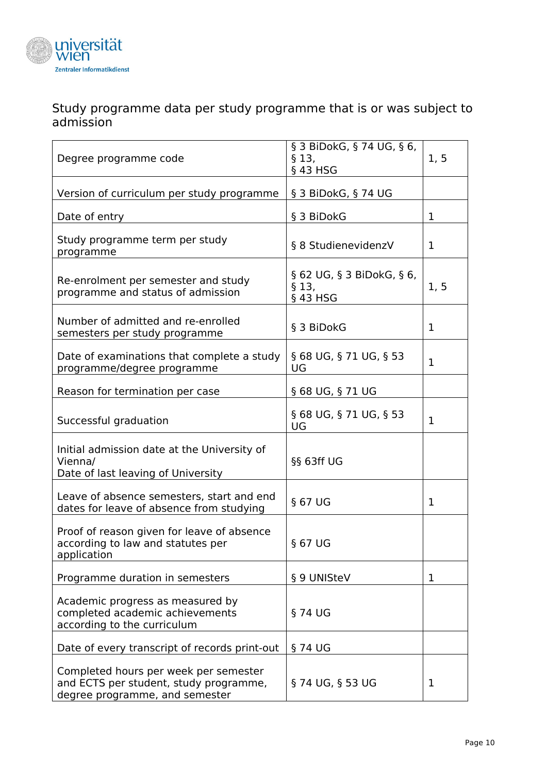

#### Study programme data per study programme that is or was subject to admission

| Degree programme code                                                                                             | § 3 BiDokG, § 74 UG, § 6,<br>$§$ 13,<br>§ 43 HSG | 1, 5         |
|-------------------------------------------------------------------------------------------------------------------|--------------------------------------------------|--------------|
| Version of curriculum per study programme                                                                         | § 3 BiDokG, § 74 UG                              |              |
| Date of entry                                                                                                     | § 3 BiDokG                                       | 1            |
| Study programme term per study<br>programme                                                                       | § 8 StudienevidenzV                              | 1            |
| Re-enrolment per semester and study<br>programme and status of admission                                          | § 62 UG, § 3 BiDokG, § 6,<br>§ 13,<br>§ 43 HSG   | 1, 5         |
| Number of admitted and re-enrolled<br>semesters per study programme                                               | § 3 BiDokG                                       | 1            |
| Date of examinations that complete a study<br>programme/degree programme                                          | § 68 UG, § 71 UG, § 53<br>UG                     | $\mathbf{1}$ |
| Reason for termination per case                                                                                   | § 68 UG, § 71 UG                                 |              |
| Successful graduation                                                                                             | § 68 UG, § 71 UG, § 53<br>UG                     | 1            |
| Initial admission date at the University of<br>Vienna/<br>Date of last leaving of University                      | §§ 63ff UG                                       |              |
| Leave of absence semesters, start and end<br>dates for leave of absence from studying                             | § 67 UG                                          | 1            |
| Proof of reason given for leave of absence<br>according to law and statutes per<br>application                    | § 67 UG                                          |              |
| Programme duration in semesters                                                                                   | § 9 UNISteV                                      | 1            |
| Academic progress as measured by<br>completed academic achievements<br>according to the curriculum                | § 74 UG                                          |              |
| Date of every transcript of records print-out                                                                     | § 74 UG                                          |              |
| Completed hours per week per semester<br>and ECTS per student, study programme,<br>degree programme, and semester | § 74 UG, § 53 UG                                 | 1            |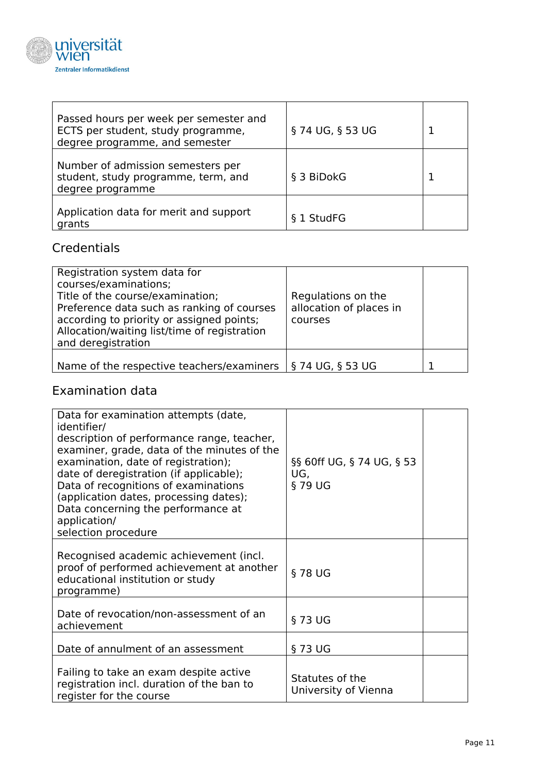

| Passed hours per week per semester and<br>ECTS per student, study programme,<br>degree programme, and semester | § 74 UG, § 53 UG |  |
|----------------------------------------------------------------------------------------------------------------|------------------|--|
| Number of admission semesters per<br>student, study programme, term, and<br>degree programme                   | § 3 BiDokG       |  |
| Application data for merit and support<br>grants                                                               | § 1 StudFG       |  |

# **Credentials**

| Registration system data for<br>courses/examinations;<br>Title of the course/examination;<br>Preference data such as ranking of courses<br>according to priority or assigned points;<br>Allocation/waiting list/time of registration<br>and deregistration | Regulations on the<br>allocation of places in<br>courses |  |
|------------------------------------------------------------------------------------------------------------------------------------------------------------------------------------------------------------------------------------------------------------|----------------------------------------------------------|--|
| Name of the respective teachers/examiners                                                                                                                                                                                                                  | § 74 UG, § 53 UG                                         |  |

# Examination data

| Data for examination attempts (date,<br>identifier/<br>description of performance range, teacher,<br>examiner, grade, data of the minutes of the<br>examination, date of registration);<br>date of deregistration (if applicable);<br>Data of recognitions of examinations<br>(application dates, processing dates);<br>Data concerning the performance at<br>application/<br>selection procedure | §§ 60ff UG, § 74 UG, § 53<br>UG,<br>§79 UG |
|---------------------------------------------------------------------------------------------------------------------------------------------------------------------------------------------------------------------------------------------------------------------------------------------------------------------------------------------------------------------------------------------------|--------------------------------------------|
| Recognised academic achievement (incl.<br>proof of performed achievement at another<br>educational institution or study<br>programme)                                                                                                                                                                                                                                                             | § 78 UG                                    |
| Date of revocation/non-assessment of an<br>achievement                                                                                                                                                                                                                                                                                                                                            | § 73 UG                                    |
| Date of annulment of an assessment                                                                                                                                                                                                                                                                                                                                                                | § 73 UG                                    |
| Failing to take an exam despite active<br>registration incl. duration of the ban to<br>register for the course                                                                                                                                                                                                                                                                                    | Statutes of the<br>University of Vienna    |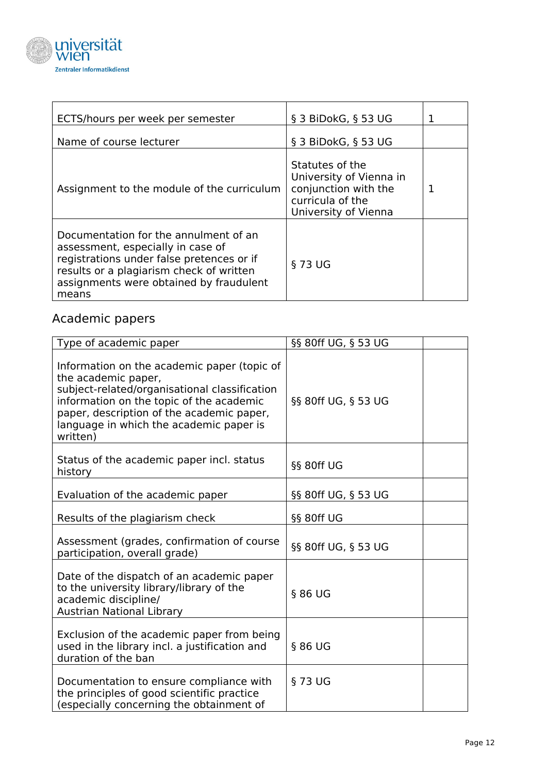

| ECTS/hours per week per semester                                                                                                                                                                                        | § 3 BiDokG, § 53 UG                                                                                            | 1 |
|-------------------------------------------------------------------------------------------------------------------------------------------------------------------------------------------------------------------------|----------------------------------------------------------------------------------------------------------------|---|
| Name of course lecturer                                                                                                                                                                                                 | § 3 BiDokG, § 53 UG                                                                                            |   |
| Assignment to the module of the curriculum                                                                                                                                                                              | Statutes of the<br>University of Vienna in<br>conjunction with the<br>curricula of the<br>University of Vienna | 1 |
| Documentation for the annulment of an<br>assessment, especially in case of<br>registrations under false pretences or if<br>results or a plagiarism check of written<br>assignments were obtained by fraudulent<br>means | § 73 UG                                                                                                        |   |

# Academic papers

| Type of academic paper                                                                                                                                                                                                                                              | §§ 80ff UG, § 53 UG |  |
|---------------------------------------------------------------------------------------------------------------------------------------------------------------------------------------------------------------------------------------------------------------------|---------------------|--|
| Information on the academic paper (topic of<br>the academic paper,<br>subject-related/organisational classification<br>information on the topic of the academic<br>paper, description of the academic paper,<br>language in which the academic paper is<br>written) | §§ 80ff UG, § 53 UG |  |
| Status of the academic paper incl. status<br>history                                                                                                                                                                                                                | §§ 80ff UG          |  |
| Evaluation of the academic paper                                                                                                                                                                                                                                    | §§ 80ff UG, § 53 UG |  |
| Results of the plagiarism check                                                                                                                                                                                                                                     | §§ 80ff UG          |  |
| Assessment (grades, confirmation of course<br>participation, overall grade)                                                                                                                                                                                         | §§ 80ff UG, § 53 UG |  |
| Date of the dispatch of an academic paper<br>to the university library/library of the<br>academic discipline/<br><b>Austrian National Library</b>                                                                                                                   | § 86 UG             |  |
| Exclusion of the academic paper from being<br>used in the library incl. a justification and<br>duration of the ban                                                                                                                                                  | § 86 UG             |  |
| Documentation to ensure compliance with<br>the principles of good scientific practice<br>(especially concerning the obtainment of                                                                                                                                   | § 73 UG             |  |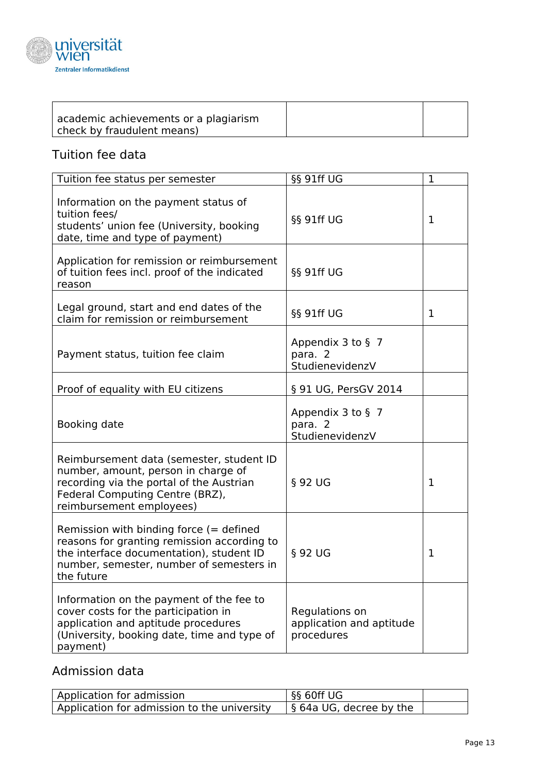

| academic achievements or a plagiarism |  |
|---------------------------------------|--|
| check by fraudulent means)            |  |

# Tuition fee data

| Tuition fee status per semester                                                                                                                                                                | §§ 91ff UG                                                    | $\mathbf{1}$ |
|------------------------------------------------------------------------------------------------------------------------------------------------------------------------------------------------|---------------------------------------------------------------|--------------|
| Information on the payment status of<br>tuition fees/<br>students' union fee (University, booking<br>date, time and type of payment)                                                           | §§ 91ff UG                                                    | 1            |
| Application for remission or reimbursement<br>of tuition fees incl. proof of the indicated<br>reason                                                                                           | §§ 91ff UG                                                    |              |
| Legal ground, start and end dates of the<br>claim for remission or reimbursement                                                                                                               | §§ 91ff UG                                                    | 1            |
| Payment status, tuition fee claim                                                                                                                                                              | Appendix $3$ to $\frac{6}{3}$ 7<br>para. 2<br>StudienevidenzV |              |
| Proof of equality with EU citizens                                                                                                                                                             | § 91 UG, PersGV 2014                                          |              |
| Booking date                                                                                                                                                                                   | Appendix $3$ to $\frac{6}{3}$ 7<br>para. 2<br>StudienevidenzV |              |
| Reimbursement data (semester, student ID<br>number, amount, person in charge of<br>recording via the portal of the Austrian<br>Federal Computing Centre (BRZ),<br>reimbursement employees)     | § 92 UG                                                       | 1            |
| Remission with binding force $(=$ defined<br>reasons for granting remission according to<br>the interface documentation), student ID<br>number, semester, number of semesters in<br>the future | § 92 UG                                                       | 1            |
| Information on the payment of the fee to<br>cover costs for the participation in<br>application and aptitude procedures<br>(University, booking date, time and type of<br>payment)             | Regulations on<br>application and aptitude<br>procedures      |              |

# Admission data

| Application for admission                   | $\sqrt{556}$ 60ff UG            |  |
|---------------------------------------------|---------------------------------|--|
| Application for admission to the university | $\vert$ § 64a UG, decree by the |  |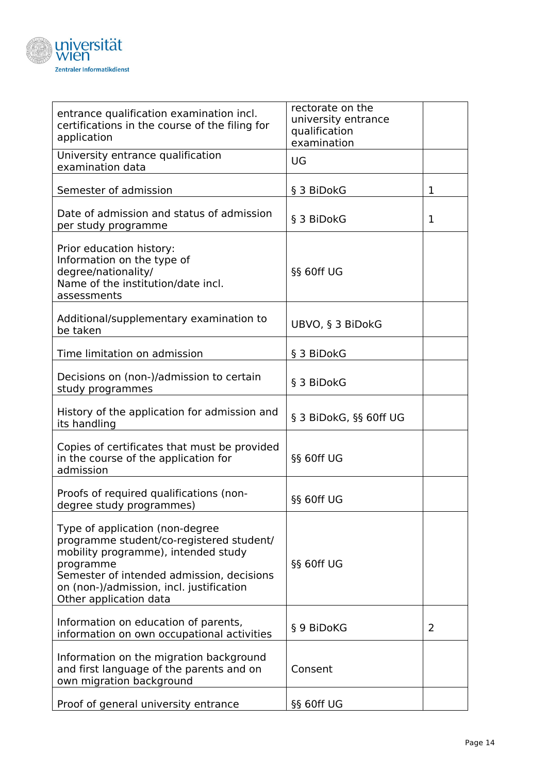

| entrance qualification examination incl.<br>certifications in the course of the filing for<br>application                                                                                                                                          | rectorate on the<br>university entrance<br>qualification<br>examination |   |
|----------------------------------------------------------------------------------------------------------------------------------------------------------------------------------------------------------------------------------------------------|-------------------------------------------------------------------------|---|
| University entrance qualification<br>examination data                                                                                                                                                                                              | UG                                                                      |   |
| Semester of admission                                                                                                                                                                                                                              | § 3 BiDokG                                                              | 1 |
| Date of admission and status of admission<br>per study programme                                                                                                                                                                                   | § 3 BiDokG                                                              | 1 |
| Prior education history:<br>Information on the type of<br>degree/nationality/<br>Name of the institution/date incl.<br>assessments                                                                                                                 | §§ 60ff UG                                                              |   |
| Additional/supplementary examination to<br>be taken                                                                                                                                                                                                | UBVO, § 3 BiDokG                                                        |   |
| Time limitation on admission                                                                                                                                                                                                                       | § 3 BiDokG                                                              |   |
| Decisions on (non-)/admission to certain<br>study programmes                                                                                                                                                                                       | § 3 BiDokG                                                              |   |
| History of the application for admission and<br>its handling                                                                                                                                                                                       | § 3 BiDokG, §§ 60ff UG                                                  |   |
| Copies of certificates that must be provided<br>in the course of the application for<br>admission                                                                                                                                                  | §§ 60ff UG                                                              |   |
| Proofs of required qualifications (non-<br>degree study programmes)                                                                                                                                                                                | §§ 60ff UG                                                              |   |
| Type of application (non-degree<br>programme student/co-registered student/<br>mobility programme), intended study<br>programme<br>Semester of intended admission, decisions<br>on (non-)/admission, incl. justification<br>Other application data | §§ 60ff UG                                                              |   |
| Information on education of parents,<br>information on own occupational activities                                                                                                                                                                 | § 9 BiDoKG                                                              | 2 |
| Information on the migration background<br>and first language of the parents and on<br>own migration background                                                                                                                                    | Consent                                                                 |   |
| Proof of general university entrance                                                                                                                                                                                                               | §§ 60ff UG                                                              |   |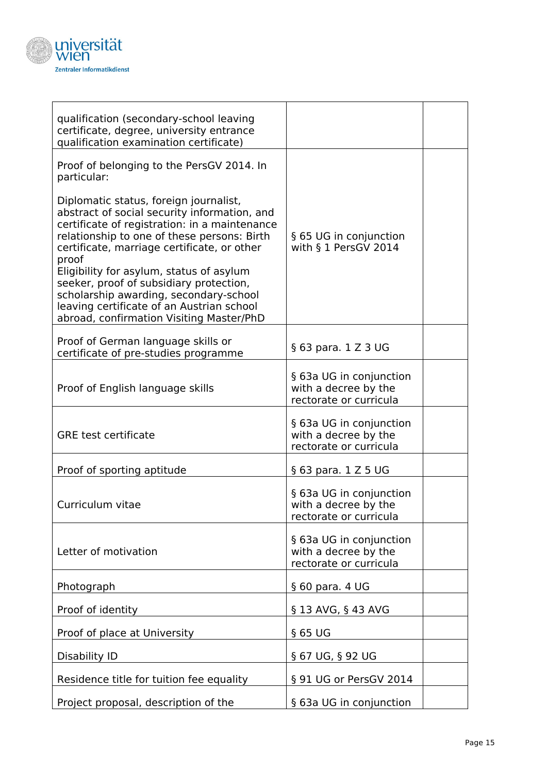

| qualification (secondary-school leaving<br>certificate, degree, university entrance<br>qualification examination certificate)                                                                                                                                                                                                                                                                                                                                            |                                                                           |
|--------------------------------------------------------------------------------------------------------------------------------------------------------------------------------------------------------------------------------------------------------------------------------------------------------------------------------------------------------------------------------------------------------------------------------------------------------------------------|---------------------------------------------------------------------------|
| Proof of belonging to the PersGV 2014. In<br>particular:                                                                                                                                                                                                                                                                                                                                                                                                                 |                                                                           |
| Diplomatic status, foreign journalist,<br>abstract of social security information, and<br>certificate of registration: in a maintenance<br>relationship to one of these persons: Birth<br>certificate, marriage certificate, or other<br>proof<br>Eligibility for asylum, status of asylum<br>seeker, proof of subsidiary protection,<br>scholarship awarding, secondary-school<br>leaving certificate of an Austrian school<br>abroad, confirmation Visiting Master/PhD | § 65 UG in conjunction<br>with § 1 PersGV 2014                            |
| Proof of German language skills or<br>certificate of pre-studies programme                                                                                                                                                                                                                                                                                                                                                                                               | § 63 para. 1 Z 3 UG                                                       |
| Proof of English language skills                                                                                                                                                                                                                                                                                                                                                                                                                                         | § 63a UG in conjunction<br>with a decree by the<br>rectorate or curricula |
| <b>GRE</b> test certificate                                                                                                                                                                                                                                                                                                                                                                                                                                              | § 63a UG in conjunction<br>with a decree by the<br>rectorate or curricula |
| Proof of sporting aptitude                                                                                                                                                                                                                                                                                                                                                                                                                                               | § 63 para. 1 Z 5 UG                                                       |
| Curriculum vitae                                                                                                                                                                                                                                                                                                                                                                                                                                                         | § 63a UG in conjunction<br>with a decree by the<br>rectorate or curricula |
| Letter of motivation                                                                                                                                                                                                                                                                                                                                                                                                                                                     | § 63a UG in conjunction<br>with a decree by the<br>rectorate or curricula |
| Photograph                                                                                                                                                                                                                                                                                                                                                                                                                                                               | § 60 para. 4 UG                                                           |
| Proof of identity                                                                                                                                                                                                                                                                                                                                                                                                                                                        | § 13 AVG, § 43 AVG                                                        |
| Proof of place at University                                                                                                                                                                                                                                                                                                                                                                                                                                             | § 65 UG                                                                   |
| Disability ID                                                                                                                                                                                                                                                                                                                                                                                                                                                            | § 67 UG, § 92 UG                                                          |
| Residence title for tuition fee equality                                                                                                                                                                                                                                                                                                                                                                                                                                 | § 91 UG or PersGV 2014                                                    |
| Project proposal, description of the                                                                                                                                                                                                                                                                                                                                                                                                                                     | § 63a UG in conjunction                                                   |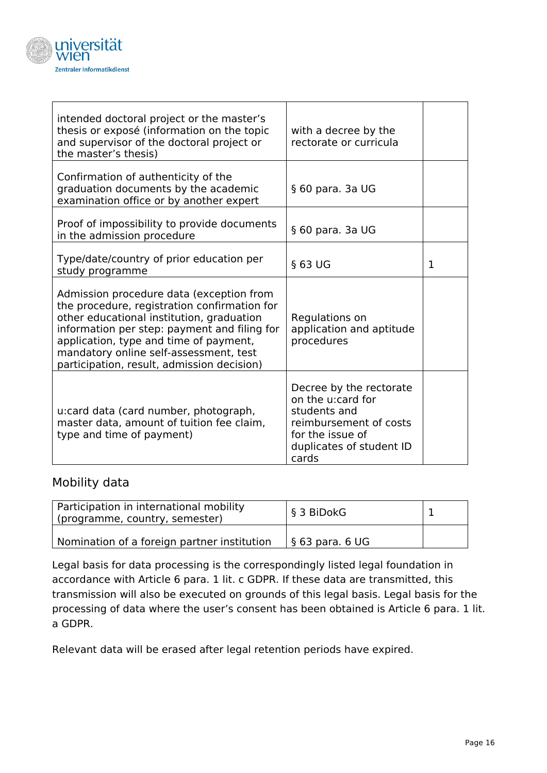

| intended doctoral project or the master's<br>thesis or exposé (information on the topic<br>and supervisor of the doctoral project or<br>the master's thesis)                                                                                                                                                            | with a decree by the<br>rectorate or curricula                                                                                                  |   |
|-------------------------------------------------------------------------------------------------------------------------------------------------------------------------------------------------------------------------------------------------------------------------------------------------------------------------|-------------------------------------------------------------------------------------------------------------------------------------------------|---|
| Confirmation of authenticity of the<br>graduation documents by the academic<br>examination office or by another expert                                                                                                                                                                                                  | § 60 para. 3a UG                                                                                                                                |   |
| Proof of impossibility to provide documents<br>in the admission procedure                                                                                                                                                                                                                                               | § 60 para. 3a UG                                                                                                                                |   |
| Type/date/country of prior education per<br>study programme                                                                                                                                                                                                                                                             | § 63 UG                                                                                                                                         | 1 |
| Admission procedure data (exception from<br>the procedure, registration confirmation for<br>other educational institution, graduation<br>information per step: payment and filing for<br>application, type and time of payment,<br>mandatory online self-assessment, test<br>participation, result, admission decision) | Regulations on<br>application and aptitude<br>procedures                                                                                        |   |
| u:card data (card number, photograph,<br>master data, amount of tuition fee claim,<br>type and time of payment)                                                                                                                                                                                                         | Decree by the rectorate<br>on the u:card for<br>students and<br>reimbursement of costs<br>for the issue of<br>duplicates of student ID<br>cards |   |

## Mobility data

| Participation in international mobility<br>(programme, country, semester) | S 3 BiDokG      |  |
|---------------------------------------------------------------------------|-----------------|--|
| Nomination of a foreign partner institution                               | § 63 para. 6 UG |  |

Legal basis for data processing is the correspondingly listed legal foundation in accordance with Article 6 para. 1 lit. c GDPR. If these data are transmitted, this transmission will also be executed on grounds of this legal basis. Legal basis for the processing of data where the user's consent has been obtained is Article 6 para. 1 lit. a GDPR.

Relevant data will be erased after legal retention periods have expired.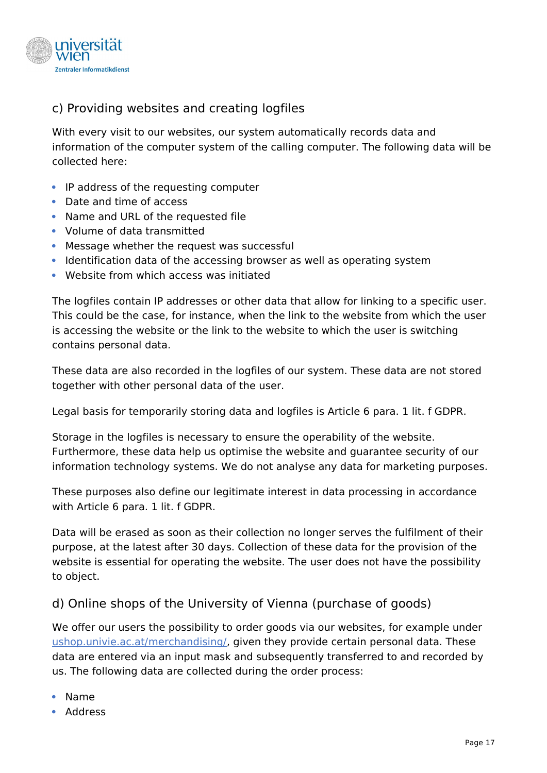

# <span id="page-16-1"></span>c) Providing websites and creating logfiles

With every visit to our websites, our system automatically records data and information of the computer system of the calling computer. The following data will be collected here:

- IP address of the requesting computer
- Date and time of access
- Name and URL of the requested file
- Volume of data transmitted
- Message whether the request was successful
- Identification data of the accessing browser as well as operating system
- Website from which access was initiated

The logfiles contain IP addresses or other data that allow for linking to a specific user. This could be the case, for instance, when the link to the website from which the user is accessing the website or the link to the website to which the user is switching contains personal data.

These data are also recorded in the logfiles of our system. These data are not stored together with other personal data of the user.

Legal basis for temporarily storing data and logfiles is Article 6 para. 1 lit. f GDPR.

Storage in the logfiles is necessary to ensure the operability of the website. Furthermore, these data help us optimise the website and guarantee security of our information technology systems. We do not analyse any data for marketing purposes.

These purposes also define our legitimate interest in data processing in accordance with Article 6 para. 1 lit. f GDPR.

Data will be erased as soon as their collection no longer serves the fulfilment of their purpose, at the latest after 30 days. Collection of these data for the provision of the website is essential for operating the website. The user does not have the possibility to object.

#### <span id="page-16-0"></span>d) Online shops of the University of Vienna (purchase of goods)

We offer our users the possibility to order goods via our websites, for example under ushop.univie.ac.at/merchandising/, given they provide certain personal data. These data are entered via an input mask and subsequently transferred to and recorded by us. The following data are collected during the order process:

- Name
- Address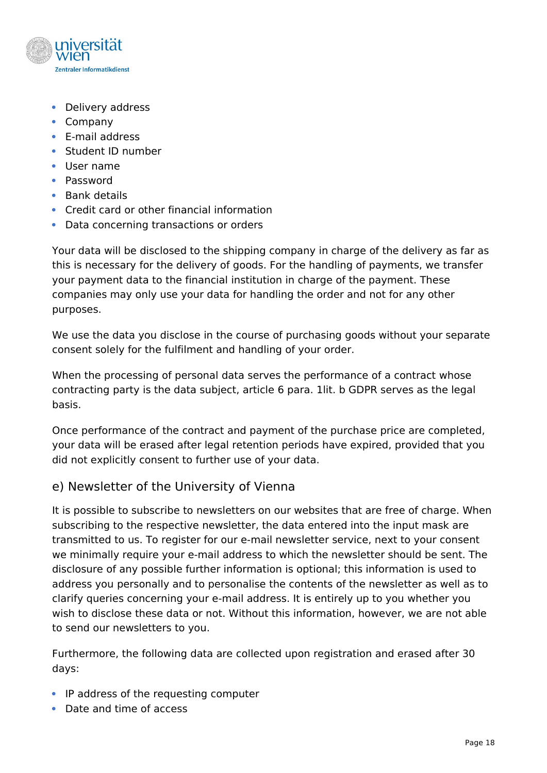

- Delivery address
- Company
- E-mail address
- Student ID number
- User name
- Password
- Bank details
- Credit card or other financial information
- Data concerning transactions or orders

Your data will be disclosed to the shipping company in charge of the delivery as far as this is necessary for the delivery of goods. For the handling of payments, we transfer your payment data to the financial institution in charge of the payment. These companies may only use your data for handling the order and not for any other purposes.

We use the data you disclose in the course of purchasing goods without your separate consent solely for the fulfilment and handling of your order.

When the processing of personal data serves the performance of a contract whose contracting party is the data subject, article 6 para. 1lit. b GDPR serves as the legal basis.

Once performance of the contract and payment of the purchase price are completed, your data will be erased after legal retention periods have expired, provided that you did not explicitly consent to further use of your data.

#### <span id="page-17-0"></span>e) Newsletter of the University of Vienna

It is possible to subscribe to newsletters on our websites that are free of charge. When subscribing to the respective newsletter, the data entered into the input mask are transmitted to us. To register for our e-mail newsletter service, next to your consent we minimally require your e-mail address to which the newsletter should be sent. The disclosure of any possible further information is optional; this information is used to address you personally and to personalise the contents of the newsletter as well as to clarify queries concerning your e-mail address. It is entirely up to you whether you wish to disclose these data or not. Without this information, however, we are not able to send our newsletters to you.

Furthermore, the following data are collected upon registration and erased after 30 days:

- IP address of the requesting computer
- Date and time of access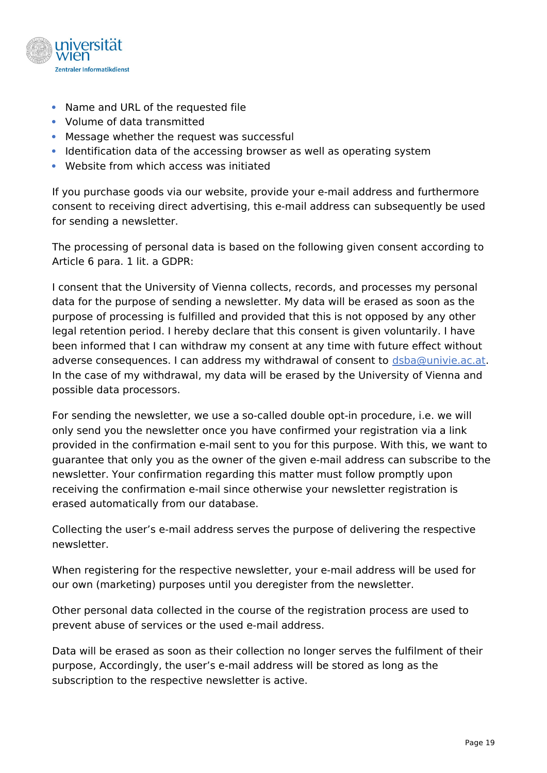

- Name and URL of the requested file
- Volume of data transmitted
- Message whether the request was successful
- Identification data of the accessing browser as well as operating system
- Website from which access was initiated

If you purchase goods via our website, provide your e-mail address and furthermore consent to receiving direct advertising, this e-mail address can subsequently be used for sending a newsletter.

The processing of personal data is based on the following given consent according to Article 6 para. 1 lit. a GDPR:

I consent that the University of Vienna collects, records, and processes my personal data for the purpose of sending a newsletter. My data will be erased as soon as the purpose of processing is fulfilled and provided that this is not opposed by any other legal retention period. I hereby declare that this consent is given voluntarily. I have been informed that I can withdraw my consent at any time with future effect without adverse consequences. I can address my withdrawal of consent to [dsba@univie.ac.at.](mailto:dsba@univie.ac.at) In the case of my withdrawal, my data will be erased by the University of Vienna and possible data processors.

For sending the newsletter, we use a so-called double opt-in procedure, i.e. we will only send you the newsletter once you have confirmed your registration via a link provided in the confirmation e-mail sent to you for this purpose. With this, we want to guarantee that only you as the owner of the given e-mail address can subscribe to the newsletter. Your confirmation regarding this matter must follow promptly upon receiving the confirmation e-mail since otherwise your newsletter registration is erased automatically from our database.

Collecting the user's e-mail address serves the purpose of delivering the respective newsletter.

When registering for the respective newsletter, your e-mail address will be used for our own (marketing) purposes until you deregister from the newsletter.

Other personal data collected in the course of the registration process are used to prevent abuse of services or the used e-mail address.

Data will be erased as soon as their collection no longer serves the fulfilment of their purpose, Accordingly, the user's e-mail address will be stored as long as the subscription to the respective newsletter is active.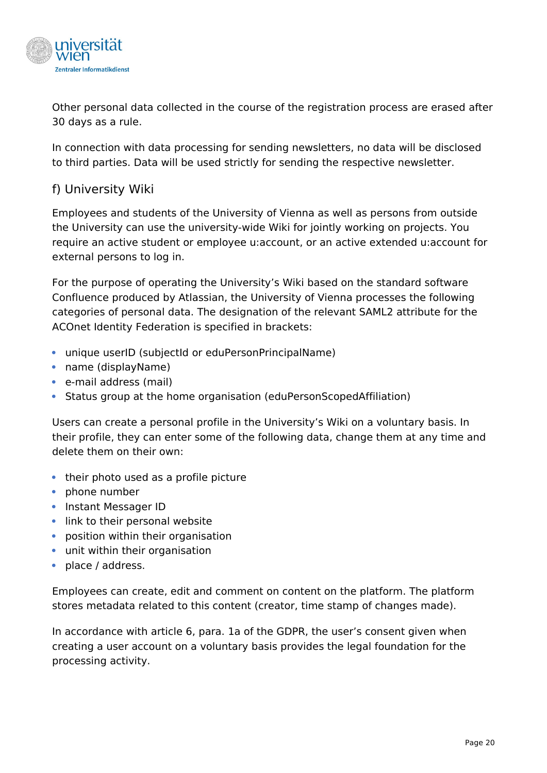

Other personal data collected in the course of the registration process are erased after 30 days as a rule.

In connection with data processing for sending newsletters, no data will be disclosed to third parties. Data will be used strictly for sending the respective newsletter.

## <span id="page-19-0"></span>f) University Wiki

Employees and students of the University of Vienna as well as persons from outside the University can use the university-wide Wiki for jointly working on projects. You require an active student or employee u:account, or an active extended u:account for external persons to log in.

For the purpose of operating the University's Wiki based on the standard software Confluence produced by Atlassian, the University of Vienna processes the following categories of personal data. The designation of the relevant SAML2 attribute for the ACOnet Identity Federation is specified in brackets:

- unique userID (subjectId or eduPersonPrincipalName)
- name (displayName)
- e-mail address (mail)
- Status group at the home organisation (eduPersonScopedAffiliation)

Users can create a personal profile in the University's Wiki on a voluntary basis. In their profile, they can enter some of the following data, change them at any time and delete them on their own:

- their photo used as a profile picture
- phone number
- Instant Messager ID
- link to their personal website
- position within their organisation
- unit within their organisation
- place / address.

Employees can create, edit and comment on content on the platform. The platform stores metadata related to this content (creator, time stamp of changes made).

In accordance with article 6, para. 1a of the GDPR, the user's consent given when creating a user account on a voluntary basis provides the legal foundation for the processing activity.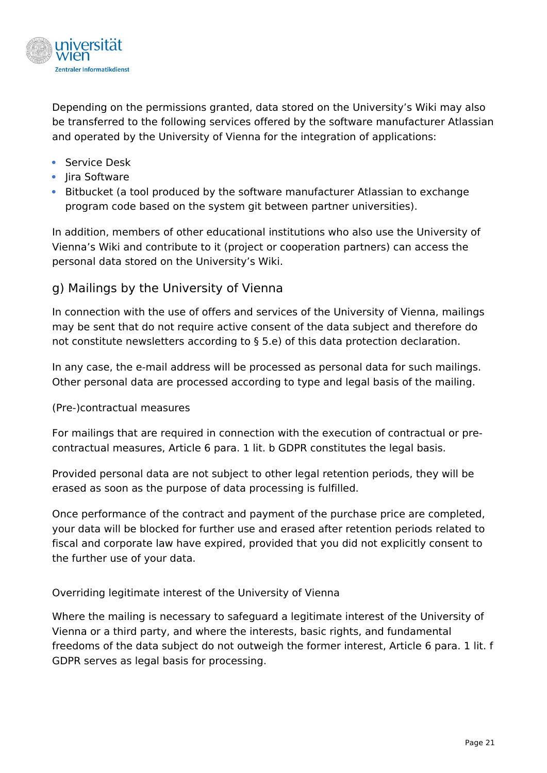

Depending on the permissions granted, data stored on the University's Wiki may also be transferred to the following services offered by the software manufacturer Atlassian and operated by the University of Vienna for the integration of applications:

- **Service Desk**
- lira Software
- Bitbucket (a tool produced by the software manufacturer Atlassian to exchange program code based on the system git between partner universities).

In addition, members of other educational institutions who also use the University of Vienna's Wiki and contribute to it (project or cooperation partners) can access the personal data stored on the University's Wiki.

## <span id="page-20-0"></span>g) Mailings by the University of Vienna

In connection with the use of offers and services of the University of Vienna, mailings may be sent that do not require active consent of the data subject and therefore do not constitute newsletters according to § 5.e) of this data protection declaration.

In any case, the e-mail address will be processed as personal data for such mailings. Other personal data are processed according to type and legal basis of the mailing.

(Pre-)contractual measures

For mailings that are required in connection with the execution of contractual or precontractual measures, Article 6 para. 1 lit. b GDPR constitutes the legal basis.

Provided personal data are not subject to other legal retention periods, they will be erased as soon as the purpose of data processing is fulfilled.

Once performance of the contract and payment of the purchase price are completed, your data will be blocked for further use and erased after retention periods related to fiscal and corporate law have expired, provided that you did not explicitly consent to the further use of your data.

#### Overriding legitimate interest of the University of Vienna

Where the mailing is necessary to safeguard a legitimate interest of the University of Vienna or a third party, and where the interests, basic rights, and fundamental freedoms of the data subject do not outweigh the former interest, Article 6 para. 1 lit. f GDPR serves as legal basis for processing.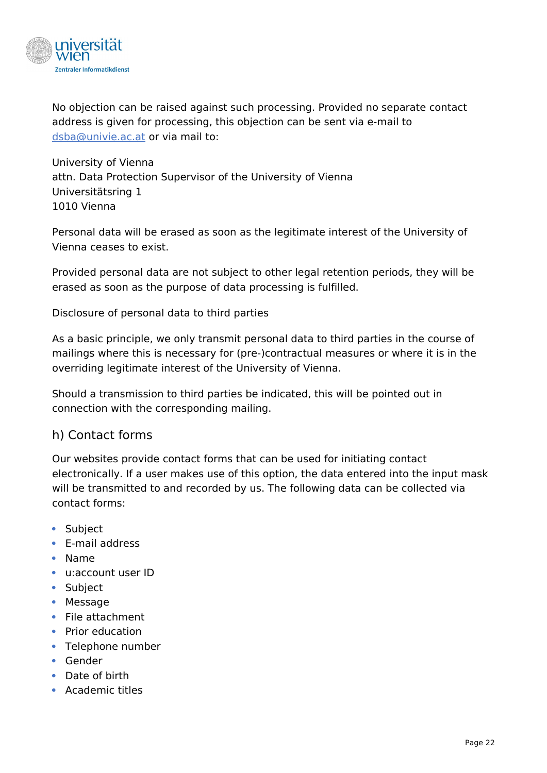

No objection can be raised against such processing. Provided no separate contact address is given for processing, this objection can be sent via e-mail to [dsba@univie.ac.at](mailto:dsba@univie.ac.at) or via mail to:

University of Vienna attn. Data Protection Supervisor of the University of Vienna Universitätsring 1 1010 Vienna

Personal data will be erased as soon as the legitimate interest of the University of Vienna ceases to exist.

Provided personal data are not subject to other legal retention periods, they will be erased as soon as the purpose of data processing is fulfilled.

Disclosure of personal data to third parties

As a basic principle, we only transmit personal data to third parties in the course of mailings where this is necessary for (pre-)contractual measures or where it is in the overriding legitimate interest of the University of Vienna.

Should a transmission to third parties be indicated, this will be pointed out in connection with the corresponding mailing.

## <span id="page-21-0"></span>h) Contact forms

Our websites provide contact forms that can be used for initiating contact electronically. If a user makes use of this option, the data entered into the input mask will be transmitted to and recorded by us. The following data can be collected via contact forms:

- Subject
- E-mail address
- Name
- u:account user ID
- Subject
- Message
- File attachment
- $\bullet$  Prior education
- Telephone number
- Gender
- Date of birth
- Academic titles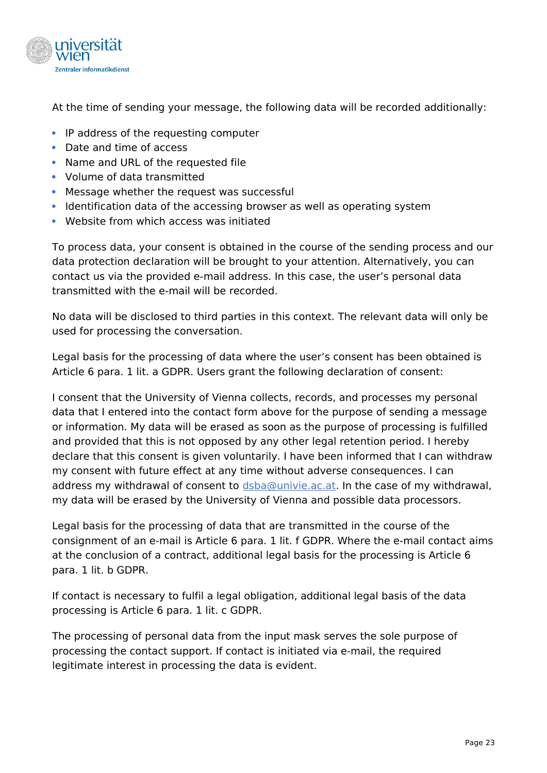

At the time of sending your message, the following data will be recorded additionally:

- IP address of the requesting computer
- Date and time of access
- Name and URL of the requested file
- Volume of data transmitted
- Message whether the request was successful
- Identification data of the accessing browser as well as operating system
- Website from which access was initiated

To process data, your consent is obtained in the course of the sending process and our data protection declaration will be brought to your attention. Alternatively, you can contact us via the provided e-mail address. In this case, the user's personal data transmitted with the e-mail will be recorded.

No data will be disclosed to third parties in this context. The relevant data will only be used for processing the conversation.

Legal basis for the processing of data where the user's consent has been obtained is Article 6 para. 1 lit. a GDPR. Users grant the following declaration of consent:

I consent that the University of Vienna collects, records, and processes my personal data that I entered into the contact form above for the purpose of sending a message or information. My data will be erased as soon as the purpose of processing is fulfilled and provided that this is not opposed by any other legal retention period. I hereby declare that this consent is given voluntarily. I have been informed that I can withdraw my consent with future effect at any time without adverse consequences. I can address my withdrawal of consent to [dsba@univie.ac.at.](mailto:dsba@univie.ac.at) In the case of my withdrawal, my data will be erased by the University of Vienna and possible data processors.

Legal basis for the processing of data that are transmitted in the course of the consignment of an e-mail is Article 6 para. 1 lit. f GDPR. Where the e-mail contact aims at the conclusion of a contract, additional legal basis for the processing is Article 6 para. 1 lit. b GDPR.

If contact is necessary to fulfil a legal obligation, additional legal basis of the data processing is Article 6 para. 1 lit. c GDPR.

The processing of personal data from the input mask serves the sole purpose of processing the contact support. If contact is initiated via e-mail, the required legitimate interest in processing the data is evident.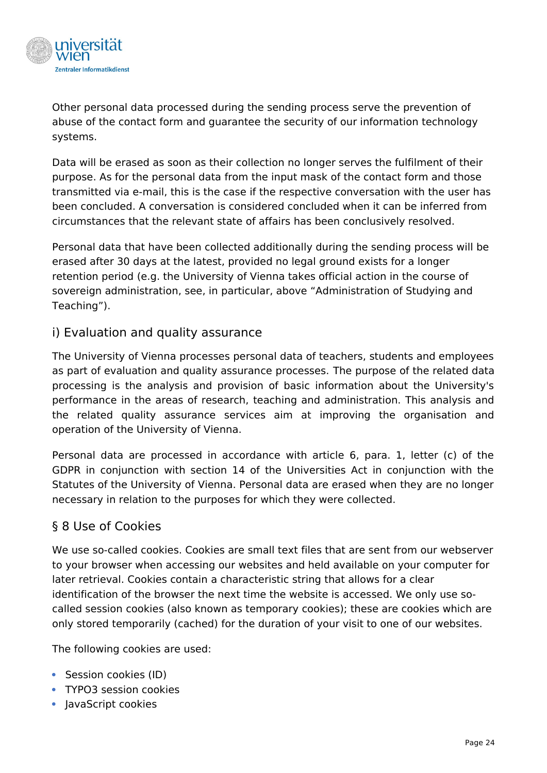

Other personal data processed during the sending process serve the prevention of abuse of the contact form and guarantee the security of our information technology systems.

Data will be erased as soon as their collection no longer serves the fulfilment of their purpose. As for the personal data from the input mask of the contact form and those transmitted via e-mail, this is the case if the respective conversation with the user has been concluded. A conversation is considered concluded when it can be inferred from circumstances that the relevant state of affairs has been conclusively resolved.

Personal data that have been collected additionally during the sending process will be erased after 30 days at the latest, provided no legal ground exists for a longer retention period (e.g. the University of Vienna takes official action in the course of sovereign administration, see, in particular, above "Administration of Studying and Teaching").

## <span id="page-23-1"></span>i) Evaluation and quality assurance

The University of Vienna processes personal data of teachers, students and employees as part of evaluation and quality assurance processes. The purpose of the related data processing is the analysis and provision of basic information about the University's performance in the areas of research, teaching and administration. This analysis and the related quality assurance services aim at improving the organisation and operation of the University of Vienna.

Personal data are processed in accordance with article 6, para. 1, letter (c) of the GDPR in conjunction with section 14 of the Universities Act in conjunction with the Statutes of the University of Vienna. Personal data are erased when they are no longer necessary in relation to the purposes for which they were collected.

## <span id="page-23-0"></span>§ 8 Use of Cookies

We use so-called cookies. Cookies are small text files that are sent from our webserver to your browser when accessing our websites and held available on your computer for later retrieval. Cookies contain a characteristic string that allows for a clear identification of the browser the next time the website is accessed. We only use socalled session cookies (also known as temporary cookies); these are cookies which are only stored temporarily (cached) for the duration of your visit to one of our websites.

The following cookies are used:

- Session cookies (ID)
- TYPO3 session cookies
- JavaScript cookies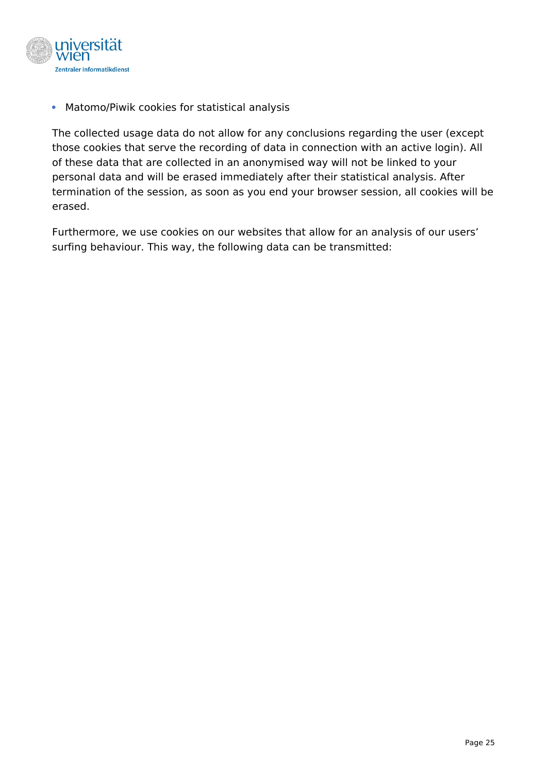

Matomo/Piwik cookies for statistical analysis

The collected usage data do not allow for any conclusions regarding the user (except those cookies that serve the recording of data in connection with an active login). All of these data that are collected in an anonymised way will not be linked to your personal data and will be erased immediately after their statistical analysis. After termination of the session, as soon as you end your browser session, all cookies will be erased.

Furthermore, we use cookies on our websites that allow for an analysis of our users' surfing behaviour. This way, the following data can be transmitted: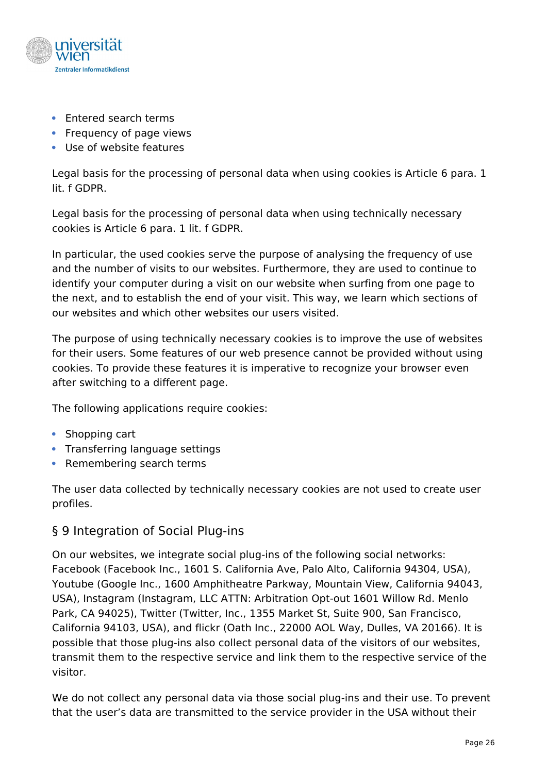

- Entered search terms
- Frequency of page views
- Use of website features

Legal basis for the processing of personal data when using cookies is Article 6 para. 1 lit. f GDPR.

Legal basis for the processing of personal data when using technically necessary cookies is Article 6 para. 1 lit. f GDPR.

In particular, the used cookies serve the purpose of analysing the frequency of use and the number of visits to our websites. Furthermore, they are used to continue to identify your computer during a visit on our website when surfing from one page to the next, and to establish the end of your visit. This way, we learn which sections of our websites and which other websites our users visited.

The purpose of using technically necessary cookies is to improve the use of websites for their users. Some features of our web presence cannot be provided without using cookies. To provide these features it is imperative to recognize your browser even after switching to a different page.

The following applications require cookies:

- Shopping cart
- Transferring language settings
- Remembering search terms

The user data collected by technically necessary cookies are not used to create user profiles.

## <span id="page-25-0"></span>§ 9 Integration of Social Plug-ins

On our websites, we integrate social plug-ins of the following social networks: Facebook (Facebook Inc., 1601 S. California Ave, Palo Alto, California 94304, USA), Youtube (Google Inc., 1600 Amphitheatre Parkway, Mountain View, California 94043, USA), Instagram (Instagram, LLC ATTN: Arbitration Opt-out 1601 Willow Rd. Menlo Park, CA 94025), Twitter (Twitter, Inc., 1355 Market St, Suite 900, San Francisco, California 94103, USA), and flickr (Oath Inc., 22000 AOL Way, Dulles, VA 20166). It is possible that those plug-ins also collect personal data of the visitors of our websites, transmit them to the respective service and link them to the respective service of the visitor.

We do not collect any personal data via those social plug-ins and their use. To prevent that the user's data are transmitted to the service provider in the USA without their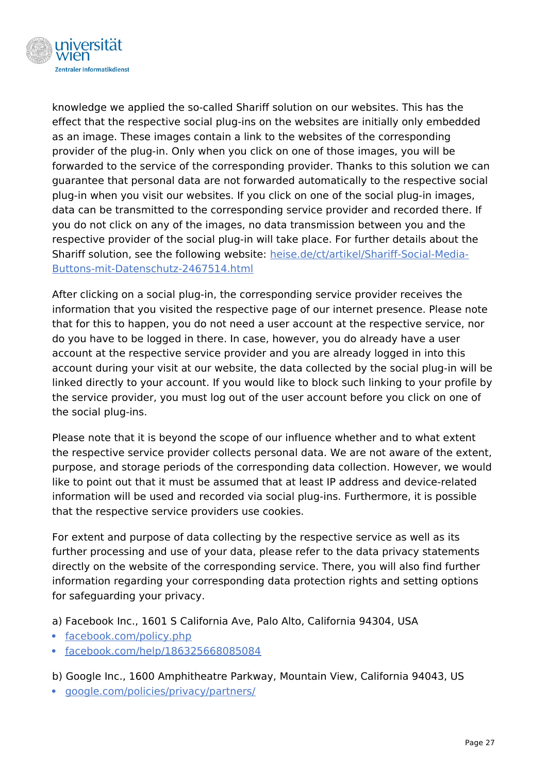

knowledge we applied the so-called Shariff solution on our websites. This has the effect that the respective social plug-ins on the websites are initially only embedded as an image. These images contain a link to the websites of the corresponding provider of the plug-in. Only when you click on one of those images, you will be forwarded to the service of the corresponding provider. Thanks to this solution we can guarantee that personal data are not forwarded automatically to the respective social plug-in when you visit our websites. If you click on one of the social plug-in images, data can be transmitted to the corresponding service provider and recorded there. If you do not click on any of the images, no data transmission between you and the respective provider of the social plug-in will take place. For further details about the Shariff solution, see the following website: [heise.de/ct/artikel/Shariff-Social-Media-](https://www.heise.de/ct/artikel/Shariff-Social-Media-Buttons-mit-Datenschutz-2467514.html)[Buttons-mit-Datenschutz-2467514.html](https://www.heise.de/ct/artikel/Shariff-Social-Media-Buttons-mit-Datenschutz-2467514.html)

After clicking on a social plug-in, the corresponding service provider receives the information that you visited the respective page of our internet presence. Please note that for this to happen, you do not need a user account at the respective service, nor do you have to be logged in there. In case, however, you do already have a user account at the respective service provider and you are already logged in into this account during your visit at our website, the data collected by the social plug-in will be linked directly to your account. If you would like to block such linking to your profile by the service provider, you must log out of the user account before you click on one of the social plug-ins.

Please note that it is beyond the scope of our influence whether and to what extent the respective service provider collects personal data. We are not aware of the extent, purpose, and storage periods of the corresponding data collection. However, we would like to point out that it must be assumed that at least IP address and device-related information will be used and recorded via social plug-ins. Furthermore, it is possible that the respective service providers use cookies.

For extent and purpose of data collecting by the respective service as well as its further processing and use of your data, please refer to the data privacy statements directly on the website of the corresponding service. There, you will also find further information regarding your corresponding data protection rights and setting options for safeguarding your privacy.

a) Facebook Inc., 1601 S California Ave, Palo Alto, California 94304, USA

- • [facebook.com/policy.php](https://www.facebook.com/policy.php)
- [facebook.com/help/186325668085084](https://www.facebook.com/help/186325668085084)

b) Google Inc., 1600 Amphitheatre Parkway, Mountain View, California 94043, US

 [google.com/policies/privacy/partners/](https://www.google.com/policies/privacy/partners/?hl=de)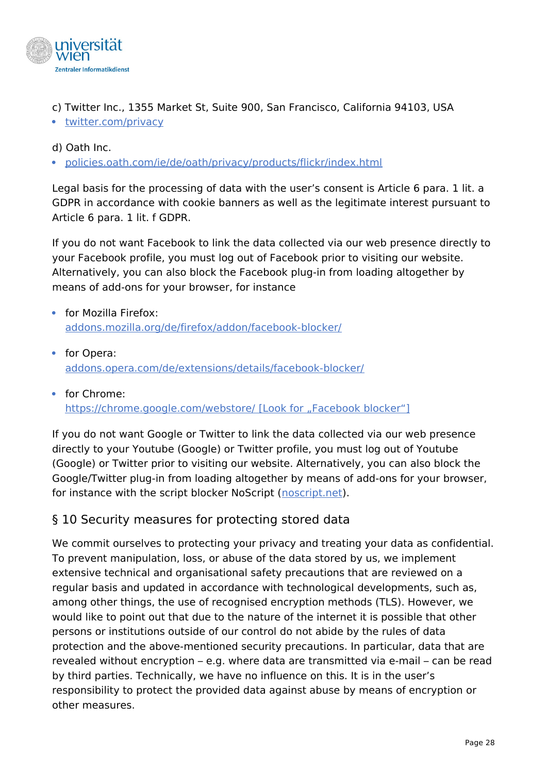

#### c) Twitter Inc., 1355 Market St, Suite 900, San Francisco, California 94103, USA

• [twitter.com/privacy](https://twitter.com/privacy?lang=de)

#### d) Oath Inc.

 [policies.oath.com/ie/de/oath/privacy/products/flickr/index.html](https://policies.oath.com/ie/de/oath/privacy/products/flickr/index.html)

Legal basis for the processing of data with the user's consent is Article 6 para. 1 lit. a GDPR in accordance with cookie banners as well as the legitimate interest pursuant to Article 6 para. 1 lit. f GDPR.

If you do not want Facebook to link the data collected via our web presence directly to your Facebook profile, you must log out of Facebook prior to visiting our website. Alternatively, you can also block the Facebook plug-in from loading altogether by means of add-ons for your browser, for instance

- for Mozilla Firefox: [addons.mozilla.org/de/firefox/addon/facebook-blocker/](https://addons.mozilla.org/de/firefox/addon/facebook-blocker/)
- for Opera: [addons.opera.com/de/extensions/details/facebook-blocker/](https://addons.opera.com/de/extensions/details/facebook-blocker/?display=en)

## • for Chrome: https://chrome.google.com/webstore/ [Look for "Facebook blocker"]

If you do not want Google or Twitter to link the data collected via our web presence directly to your Youtube (Google) or Twitter profile, you must log out of Youtube (Google) or Twitter prior to visiting our website. Alternatively, you can also block the Google/Twitter plug-in from loading altogether by means of add-ons for your browser, for instance with the script blocker NoScript ([noscript.net\)](http://noscript.net/).

# <span id="page-27-0"></span>§ 10 Security measures for protecting stored data

We commit ourselves to protecting your privacy and treating your data as confidential. To prevent manipulation, loss, or abuse of the data stored by us, we implement extensive technical and organisational safety precautions that are reviewed on a regular basis and updated in accordance with technological developments, such as, among other things, the use of recognised encryption methods (TLS). However, we would like to point out that due to the nature of the internet it is possible that other persons or institutions outside of our control do not abide by the rules of data protection and the above-mentioned security precautions. In particular, data that are revealed without encryption – e.g. where data are transmitted via e-mail – can be read by third parties. Technically, we have no influence on this. It is in the user's responsibility to protect the provided data against abuse by means of encryption or other measures.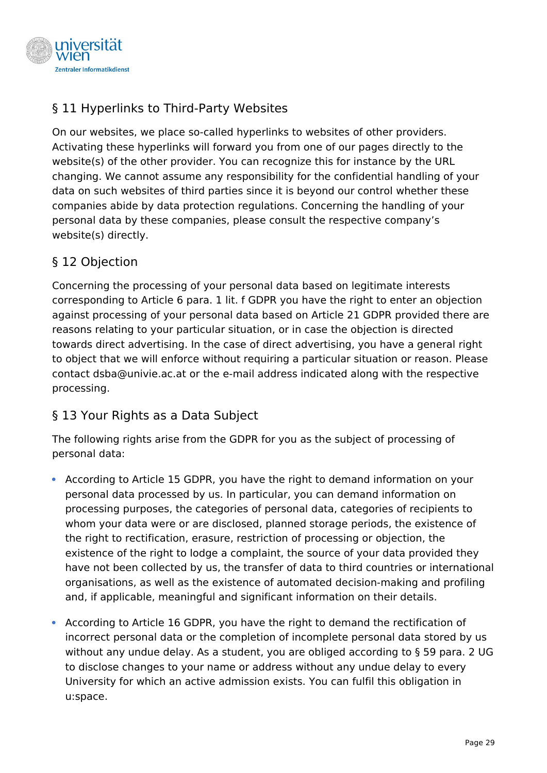

# <span id="page-28-2"></span>§ 11 Hyperlinks to Third-Party Websites

On our websites, we place so-called hyperlinks to websites of other providers. Activating these hyperlinks will forward you from one of our pages directly to the website(s) of the other provider. You can recognize this for instance by the URL changing. We cannot assume any responsibility for the confidential handling of your data on such websites of third parties since it is beyond our control whether these companies abide by data protection regulations. Concerning the handling of your personal data by these companies, please consult the respective company's website(s) directly.

# <span id="page-28-1"></span>§ 12 Objection

Concerning the processing of your personal data based on legitimate interests corresponding to Article 6 para. 1 lit. f GDPR you have the right to enter an objection against processing of your personal data based on Article 21 GDPR provided there are reasons relating to your particular situation, or in case the objection is directed towards direct advertising. In the case of direct advertising, you have a general right to object that we will enforce without requiring a particular situation or reason. Please contact dsba@univie.ac.at or the e-mail address indicated along with the respective processing.

# <span id="page-28-0"></span>§ 13 Your Rights as a Data Subject

The following rights arise from the GDPR for you as the subject of processing of personal data:

- According to Article 15 GDPR, you have the right to demand information on your personal data processed by us. In particular, you can demand information on processing purposes, the categories of personal data, categories of recipients to whom your data were or are disclosed, planned storage periods, the existence of the right to rectification, erasure, restriction of processing or objection, the existence of the right to lodge a complaint, the source of your data provided they have not been collected by us, the transfer of data to third countries or international organisations, as well as the existence of automated decision-making and profiling and, if applicable, meaningful and significant information on their details.
- According to Article 16 GDPR, you have the right to demand the rectification of incorrect personal data or the completion of incomplete personal data stored by us without any undue delay. As a student, you are obliged according to § 59 para. 2 UG to disclose changes to your name or address without any undue delay to every University for which an active admission exists. You can fulfil this obligation in u:space.